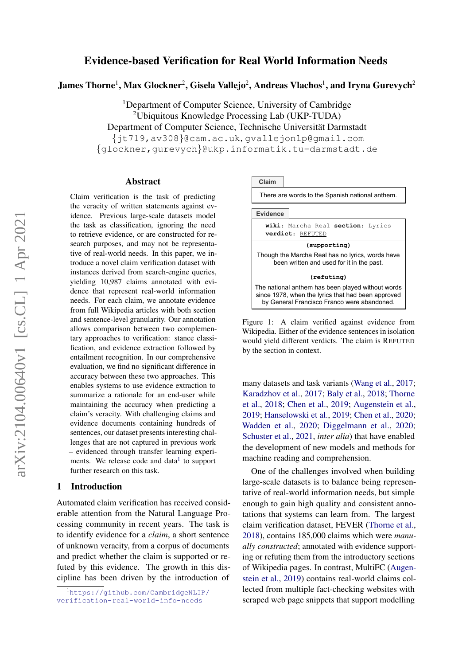# arXiv:2104.00640v1 [cs.CL] 1 Apr 2021 $arXiv:2104.00640v1$  [cs.CL] 1 Apr 2021

# Evidence-based Verification for Real World Information Needs

James Thorne<sup>1</sup>, Max Glockner<sup>2</sup>, Gisela Vallejo<sup>2</sup>, Andreas Vlachos<sup>1</sup>, and Iryna Gurevych<sup>2</sup>

<sup>1</sup>Department of Computer Science, University of Cambridge <sup>2</sup>Ubiquitous Knowledge Processing Lab (UKP-TUDA) Department of Computer Science, Technische Universität Darmstadt {jt719,av308}@cam.ac.uk, gvallejonlp@gmail.com {glockner,gurevych}@ukp.informatik.tu-darmstadt.de

### Abstract

Claim verification is the task of predicting the veracity of written statements against evidence. Previous large-scale datasets model the task as classification, ignoring the need to retrieve evidence, or are constructed for research purposes, and may not be representative of real-world needs. In this paper, we introduce a novel claim verification dataset with instances derived from search-engine queries, yielding 10,987 claims annotated with evidence that represent real-world information needs. For each claim, we annotate evidence from full Wikipedia articles with both section and sentence-level granularity. Our annotation allows comparison between two complementary approaches to verification: stance classification, and evidence extraction followed by entailment recognition. In our comprehensive evaluation, we find no significant difference in accuracy between these two approaches. This enables systems to use evidence extraction to summarize a rationale for an end-user while maintaining the accuracy when predicting a claim's veracity. With challenging claims and evidence documents containing hundreds of sentences, our dataset presents interesting challenges that are not captured in previous work – evidenced through transfer learning experi-ments. We release code and data<sup>[1](#page-0-0)</sup> to support further research on this task.

# 1 Introduction

Automated claim verification has received considerable attention from the Natural Language Processing community in recent years. The task is to identify evidence for a *claim*, a short sentence of unknown veracity, from a corpus of documents and predict whether the claim is supported or refuted by this evidence. The growth in this discipline has been driven by the introduction of

<span id="page-0-1"></span>

Figure 1: A claim verified against evidence from Wikipedia. Either of the evidence sentences in isolation would yield different verdicts. The claim is REFUTED by the section in context.

many datasets and task variants [\(Wang et al.,](#page-11-0) [2017;](#page-11-0) [Karadzhov et al.,](#page-11-1) [2017;](#page-11-1) [Baly et al.,](#page-10-0) [2018;](#page-10-0) [Thorne](#page-11-2) [et al.,](#page-11-2) [2018;](#page-11-2) [Chen et al.,](#page-10-1) [2019;](#page-10-1) [Augenstein et al.,](#page-10-2) [2019;](#page-10-2) [Hanselowski et al.,](#page-10-3) [2019;](#page-10-3) [Chen et al.,](#page-10-4) [2020;](#page-10-4) [Wadden et al.,](#page-11-3) [2020;](#page-11-3) [Diggelmann et al.,](#page-10-5) [2020;](#page-10-5) [Schuster et al.,](#page-11-4) [2021,](#page-11-4) *inter alia*) that have enabled the development of new models and methods for machine reading and comprehension.

One of the challenges involved when building large-scale datasets is to balance being representative of real-world information needs, but simple enough to gain high quality and consistent annotations that systems can learn from. The largest claim verification dataset, FEVER [\(Thorne et al.,](#page-11-2) [2018\)](#page-11-2), contains 185,000 claims which were *manually constructed*; annotated with evidence supporting or refuting them from the introductory sections of Wikipedia pages. In contrast, MultiFC [\(Augen](#page-10-2)[stein et al.,](#page-10-2) [2019\)](#page-10-2) contains real-world claims collected from multiple fact-checking websites with scraped web page snippets that support modelling

<span id="page-0-0"></span><sup>1</sup>[https://github.com/CambridgeNLIP/](https://github.com/CambridgeNLIP/verification-real-world-info-needs) [verification-real-world-info-needs](https://github.com/CambridgeNLIP/verification-real-world-info-needs)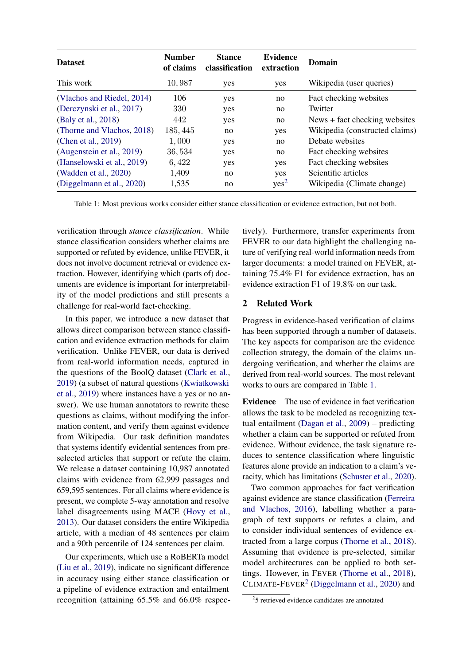<span id="page-1-1"></span>

| <b>Dataset</b>             | <b>Number</b><br>of claims | <b>Stance</b><br>classification | <b>Evidence</b><br>extraction | Domain                         |
|----------------------------|----------------------------|---------------------------------|-------------------------------|--------------------------------|
| This work                  | 10,987                     | yes                             | yes                           | Wikipedia (user queries)       |
| (Vlachos and Riedel, 2014) | 106                        | yes                             | no                            | Fact checking websites         |
| (Derczynski et al., 2017)  | 330                        | yes                             | no                            | Twitter                        |
| (Baly et al., 2018)        | 442                        | yes                             | no                            | News + fact checking websites  |
| (Thorne and Vlachos, 2018) | 185, 445                   | no                              | yes                           | Wikipedia (constructed claims) |
| (Chen et al., 2019)        | 1,000                      | yes                             | no                            | Debate websites                |
| (Augenstein et al., 2019)  | 36,534                     | yes                             | no                            | Fact checking websites         |
| (Hanselowski et al., 2019) | 6,422                      | yes                             | yes                           | Fact checking websites         |
| (Wadden et al., 2020)      | 1,409                      | no                              | yes                           | Scientific articles            |
| (Diggelmann et al., 2020)  | 1,535                      | no                              | yes <sup>2</sup>              | Wikipedia (Climate change)     |

Table 1: Most previous works consider either stance classification or evidence extraction, but not both.

verification through *stance classification*. While stance classification considers whether claims are supported or refuted by evidence, unlike FEVER, it does not involve document retrieval or evidence extraction. However, identifying which (parts of) documents are evidence is important for interpretability of the model predictions and still presents a challenge for real-world fact-checking.

In this paper, we introduce a new dataset that allows direct comparison between stance classification and evidence extraction methods for claim verification. Unlike FEVER, our data is derived from real-world information needs, captured in the questions of the BoolQ dataset [\(Clark et al.,](#page-10-7) [2019\)](#page-10-7) (a subset of natural questions [\(Kwiatkowski](#page-11-7) [et al.,](#page-11-7) [2019\)](#page-11-7) where instances have a yes or no answer). We use human annotators to rewrite these questions as claims, without modifying the information content, and verify them against evidence from Wikipedia. Our task definition mandates that systems identify evidential sentences from preselected articles that support or refute the claim. We release a dataset containing 10,987 annotated claims with evidence from 62,999 passages and 659,595 sentences. For all claims where evidence is present, we complete 5-way annotation and resolve label disagreements using MACE [\(Hovy et al.,](#page-11-8) [2013\)](#page-11-8). Our dataset considers the entire Wikipedia article, with a median of 48 sentences per claim and a 90th percentile of 124 sentences per claim.

Our experiments, which use a RoBERTa model [\(Liu et al.,](#page-11-9) [2019\)](#page-11-9), indicate no significant difference in accuracy using either stance classification or a pipeline of evidence extraction and entailment recognition (attaining 65.5% and 66.0% respectively). Furthermore, transfer experiments from FEVER to our data highlight the challenging nature of verifying real-world information needs from larger documents: a model trained on FEVER, attaining 75.4% F1 for evidence extraction, has an evidence extraction F1 of 19.8% on our task.

# <span id="page-1-2"></span>2 Related Work

Progress in evidence-based verification of claims has been supported through a number of datasets. The key aspects for comparison are the evidence collection strategy, the domain of the claims undergoing verification, and whether the claims are derived from real-world sources. The most relevant works to ours are compared in Table [1.](#page-1-1)

Evidence The use of evidence in fact verification allows the task to be modeled as recognizing textual entailment [\(Dagan et al.,](#page-10-8) [2009\)](#page-10-8) – predicting whether a claim can be supported or refuted from evidence. Without evidence, the task signature reduces to sentence classification where linguistic features alone provide an indication to a claim's veracity, which has limitations [\(Schuster et al.,](#page-11-10) [2020\)](#page-11-10).

Two common approaches for fact verification against evidence are stance classification [\(Ferreira](#page-10-9) [and Vlachos,](#page-10-9) [2016\)](#page-10-9), labelling whether a paragraph of text supports or refutes a claim, and to consider individual sentences of evidence extracted from a large corpus [\(Thorne et al.,](#page-11-2) [2018\)](#page-11-2). Assuming that evidence is pre-selected, similar model architectures can be applied to both settings. However, in FEVER [\(Thorne et al.,](#page-11-2) [2018\)](#page-11-2), CLIMATE- $F$ EVER<sup>[2](#page-1-0)</sup> [\(Diggelmann et al.,](#page-10-5) [2020\)](#page-10-5) and

<span id="page-1-0"></span><sup>2</sup> 5 retrieved evidence candidates are annotated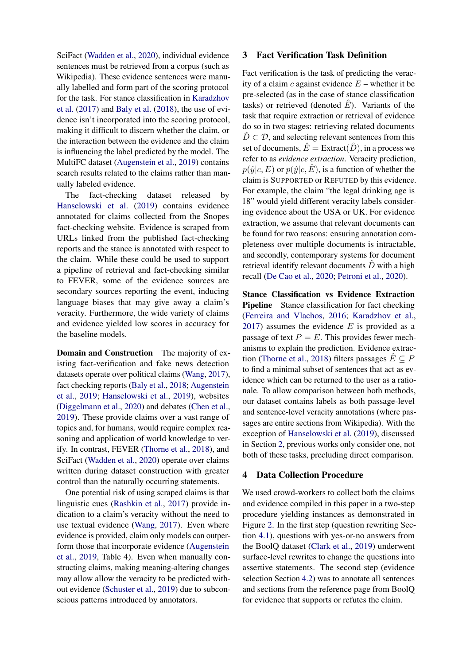SciFact [\(Wadden et al.,](#page-11-3) [2020\)](#page-11-3), individual evidence sentences must be retrieved from a corpus (such as Wikipedia). These evidence sentences were manually labelled and form part of the scoring protocol for the task. For stance classification in [Karadzhov](#page-11-1) [et al.](#page-11-1) [\(2017\)](#page-11-1) and [Baly et al.](#page-10-0) [\(2018\)](#page-10-0), the use of evidence isn't incorporated into the scoring protocol, making it difficult to discern whether the claim, or the interaction between the evidence and the claim is influencing the label predicted by the model. The MultiFC dataset [\(Augenstein et al.,](#page-10-2) [2019\)](#page-10-2) contains search results related to the claims rather than manually labeled evidence.

The fact-checking dataset released by [Hanselowski et al.](#page-10-3) [\(2019\)](#page-10-3) contains evidence annotated for claims collected from the Snopes fact-checking website. Evidence is scraped from URLs linked from the published fact-checking reports and the stance is annotated with respect to the claim. While these could be used to support a pipeline of retrieval and fact-checking similar to FEVER, some of the evidence sources are secondary sources reporting the event, inducing language biases that may give away a claim's veracity. Furthermore, the wide variety of claims and evidence yielded low scores in accuracy for the baseline models.

**Domain and Construction** The majority of existing fact-verification and fake news detection datasets operate over political claims [\(Wang,](#page-11-11) [2017\)](#page-11-11), fact checking reports [\(Baly et al.,](#page-10-0) [2018;](#page-10-0) [Augenstein](#page-10-2) [et al.,](#page-10-2) [2019;](#page-10-2) [Hanselowski et al.,](#page-10-3) [2019\)](#page-10-3), websites [\(Diggelmann et al.,](#page-10-5) [2020\)](#page-10-5) and debates [\(Chen et al.,](#page-10-1) [2019\)](#page-10-1). These provide claims over a vast range of topics and, for humans, would require complex reasoning and application of world knowledge to verify. In contrast, FEVER [\(Thorne et al.,](#page-11-2) [2018\)](#page-11-2), and SciFact [\(Wadden et al.,](#page-11-3) [2020\)](#page-11-3) operate over claims written during dataset construction with greater control than the naturally occurring statements.

One potential risk of using scraped claims is that linguistic cues [\(Rashkin et al.,](#page-11-12) [2017\)](#page-11-12) provide indication to a claim's veracity without the need to use textual evidence [\(Wang,](#page-11-11) [2017\)](#page-11-11). Even where evidence is provided, claim only models can outperform those that incorporate evidence [\(Augenstein](#page-10-2) [et al.,](#page-10-2) [2019,](#page-10-2) Table 4). Even when manually constructing claims, making meaning-altering changes may allow allow the veracity to be predicted without evidence [\(Schuster et al.,](#page-11-13) [2019\)](#page-11-13) due to subconscious patterns introduced by annotators.

## 3 Fact Verification Task Definition

Fact verification is the task of predicting the veracity of a claim c against evidence  $E$  – whether it be pre-selected (as in the case of stance classification tasks) or retrieved (denoted  $\hat{E}$ ). Variants of the task that require extraction or retrieval of evidence do so in two stages: retrieving related documents  $\ddot{D} \subset \mathcal{D}$ , and selecting relevant sentences from this set of documents,  $E =$  Extract $(D)$ , in a process we refer to as *evidence extraction*. Veracity prediction,  $p(\hat{y}|c, E)$  or  $p(\hat{y}|c, \hat{E})$ , is a function of whether the claim is SUPPORTED or REFUTED by this evidence. For example, the claim "the legal drinking age is 18" would yield different veracity labels considering evidence about the USA or UK. For evidence extraction, we assume that relevant documents can be found for two reasons: ensuring annotation completeness over multiple documents is intractable, and secondly, contemporary systems for document retrieval identify relevant documents  $\hat{D}$  with a high recall [\(De Cao et al.,](#page-10-10) [2020;](#page-10-10) [Petroni et al.,](#page-11-14) [2020\)](#page-11-14).

Stance Classification vs Evidence Extraction Pipeline Stance classification for fact checking [\(Ferreira and Vlachos,](#page-10-9) [2016;](#page-10-9) [Karadzhov et al.,](#page-11-1) [2017\)](#page-11-1) assumes the evidence  $E$  is provided as a passage of text  $P = E$ . This provides fewer mechanisms to explain the prediction. Evidence extrac-tion [\(Thorne et al.,](#page-11-2) [2018\)](#page-11-2) filters passages  $\hat{E} \subseteq P$ to find a minimal subset of sentences that act as evidence which can be returned to the user as a rationale. To allow comparison between both methods, our dataset contains labels as both passage-level and sentence-level veracity annotations (where passages are entire sections from Wikipedia). With the exception of [Hanselowski et al.](#page-10-3) [\(2019\)](#page-10-3), discussed in Section [2,](#page-1-2) previous works only consider one, not both of these tasks, precluding direct comparison.

# 4 Data Collection Procedure

We used crowd-workers to collect both the claims and evidence compiled in this paper in a two-step procedure yielding instances as demonstrated in Figure [2.](#page-3-0) In the first step (question rewriting Section [4.1\)](#page-3-1), questions with yes-or-no answers from the BoolQ dataset [\(Clark et al.,](#page-10-7) [2019\)](#page-10-7) underwent surface-level rewrites to change the questions into assertive statements. The second step (evidence selection Section [4.2\)](#page-3-2) was to annotate all sentences and sections from the reference page from BoolQ for evidence that supports or refutes the claim.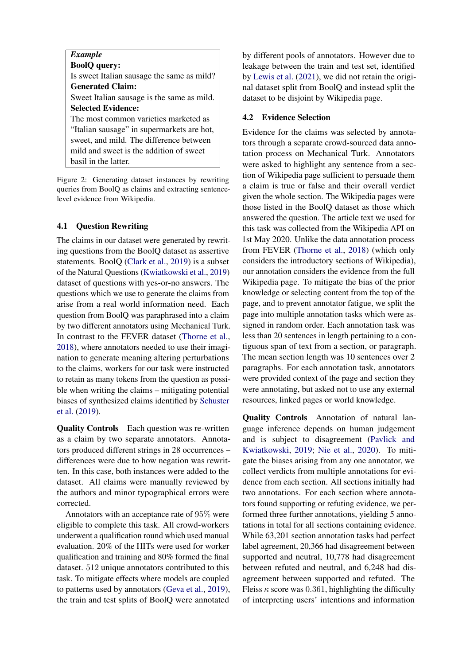<span id="page-3-0"></span>

| <b>Example</b>                             |
|--------------------------------------------|
| <b>BoolQ</b> query:                        |
| Is sweet Italian sausage the same as mild? |
| <b>Generated Claim:</b>                    |
| Sweet Italian sausage is the same as mild. |
| <b>Selected Evidence:</b>                  |
| The most common varieties marketed as      |
| "Italian sausage" in supermarkets are hot, |
| sweet, and mild. The difference between    |
| mild and sweet is the addition of sweet    |
| basil in the latter.                       |

Figure 2: Generating dataset instances by rewriting queries from BoolQ as claims and extracting sentencelevel evidence from Wikipedia.

# <span id="page-3-1"></span>4.1 Question Rewriting

The claims in our dataset were generated by rewriting questions from the BoolQ dataset as assertive statements. BoolQ [\(Clark et al.,](#page-10-7) [2019\)](#page-10-7) is a subset of the Natural Questions [\(Kwiatkowski et al.,](#page-11-7) [2019\)](#page-11-7) dataset of questions with yes-or-no answers. The questions which we use to generate the claims from arise from a real world information need. Each question from BoolQ was paraphrased into a claim by two different annotators using Mechanical Turk. In contrast to the FEVER dataset [\(Thorne et al.,](#page-11-2) [2018\)](#page-11-2), where annotators needed to use their imagination to generate meaning altering perturbations to the claims, workers for our task were instructed to retain as many tokens from the question as possible when writing the claims – mitigating potential biases of synthesized claims identified by [Schuster](#page-11-13) [et al.](#page-11-13) [\(2019\)](#page-11-13).

Quality Controls Each question was re-written as a claim by two separate annotators. Annotators produced different strings in 28 occurrences – differences were due to how negation was rewritten. In this case, both instances were added to the dataset. All claims were manually reviewed by the authors and minor typographical errors were corrected.

Annotators with an acceptance rate of 95% were eligible to complete this task. All crowd-workers underwent a qualification round which used manual evaluation. 20% of the HITs were used for worker qualification and training and 80% formed the final dataset. 512 unique annotators contributed to this task. To mitigate effects where models are coupled to patterns used by annotators [\(Geva et al.,](#page-10-11) [2019\)](#page-10-11), the train and test splits of BoolQ were annotated by different pools of annotators. However due to leakage between the train and test set, identified by [Lewis et al.](#page-11-15) [\(2021\)](#page-11-15), we did not retain the original dataset split from BoolQ and instead split the dataset to be disjoint by Wikipedia page.

# <span id="page-3-2"></span>4.2 Evidence Selection

Evidence for the claims was selected by annotators through a separate crowd-sourced data annotation process on Mechanical Turk. Annotators were asked to highlight any sentence from a section of Wikipedia page sufficient to persuade them a claim is true or false and their overall verdict given the whole section. The Wikipedia pages were those listed in the BoolQ dataset as those which answered the question. The article text we used for this task was collected from the Wikipedia API on 1st May 2020. Unlike the data annotation process from FEVER [\(Thorne et al.,](#page-11-2) [2018\)](#page-11-2) (which only considers the introductory sections of Wikipedia), our annotation considers the evidence from the full Wikipedia page. To mitigate the bias of the prior knowledge or selecting content from the top of the page, and to prevent annotator fatigue, we split the page into multiple annotation tasks which were assigned in random order. Each annotation task was less than 20 sentences in length pertaining to a contiguous span of text from a section, or paragraph. The mean section length was 10 sentences over 2 paragraphs. For each annotation task, annotators were provided context of the page and section they were annotating, but asked not to use any external resources, linked pages or world knowledge.

Quality Controls Annotation of natural language inference depends on human judgement and is subject to disagreement [\(Pavlick and](#page-11-16) [Kwiatkowski,](#page-11-16) [2019;](#page-11-16) [Nie et al.,](#page-11-17) [2020\)](#page-11-17). To mitigate the biases arising from any one annotator, we collect verdicts from multiple annotations for evidence from each section. All sections initially had two annotations. For each section where annotators found supporting or refuting evidence, we performed three further annotations, yielding 5 annotations in total for all sections containing evidence. While 63,201 section annotation tasks had perfect label agreement, 20,366 had disagreement between supported and neutral, 10,778 had disagreement between refuted and neutral, and 6,248 had disagreement between supported and refuted. The Fleiss  $\kappa$  score was 0.361, highlighting the difficulty of interpreting users' intentions and information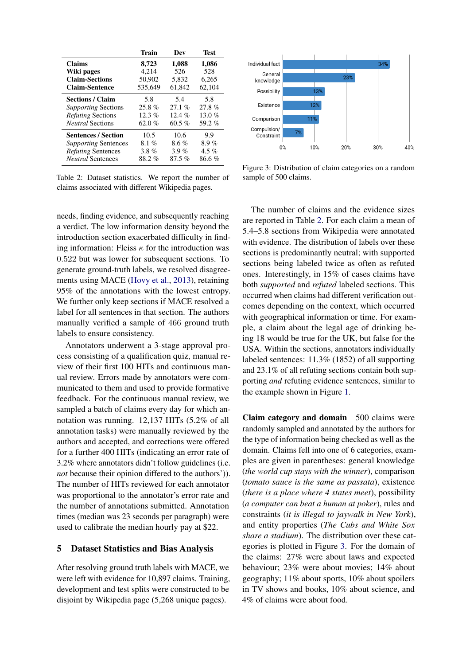<span id="page-4-0"></span>

|                             | <b>Train</b> | Dev    | <b>Test</b> |
|-----------------------------|--------------|--------|-------------|
| <b>Claims</b>               | 8,723        | 1,088  | 1,086       |
| Wiki pages                  | 4.214        | 526    | 528         |
| <b>Claim-Sections</b>       | 50,902       | 5.832  | 6.265       |
| <b>Claim-Sentence</b>       | 535,649      | 61,842 | 62,104      |
| <b>Sections / Claim</b>     | 5.8          | 5.4    | 5.8         |
| Supporting Sections         | $25.8 \%$    | 27.1%  | 27.8%       |
| <i>Refuting</i> Sections    | $12.3\%$     | 12.4%  | 13.0 $%$    |
| <i>Neutral</i> Sections     | 62.0 %       | 60.5%  | 59.2%       |
| <b>Sentences / Section</b>  | 10.5         | 10.6   | 9.9         |
| <i>Supporting</i> Sentences | 8.1%         | 8.6%   | $8.9\%$     |
| <i>Refuting</i> Sentences   | $3.8\%$      | 3.9%   | 4.5 %       |
| <i>Neutral</i> Sentences    | 88.2%        | 87.5%  | 86.6%       |

Table 2: Dataset statistics. We report the number of claims associated with different Wikipedia pages.

needs, finding evidence, and subsequently reaching a verdict. The low information density beyond the introduction section exacerbated difficulty in finding information: Fleiss  $\kappa$  for the introduction was 0.522 but was lower for subsequent sections. To generate ground-truth labels, we resolved disagreements using MACE [\(Hovy et al.,](#page-11-8) [2013\)](#page-11-8), retaining 95% of the annotations with the lowest entropy. We further only keep sections if MACE resolved a label for all sentences in that section. The authors manually verified a sample of 466 ground truth labels to ensure consistency.

Annotators underwent a 3-stage approval process consisting of a qualification quiz, manual review of their first 100 HITs and continuous manual review. Errors made by annotators were communicated to them and used to provide formative feedback. For the continuous manual review, we sampled a batch of claims every day for which annotation was running. 12,137 HITs (5.2% of all annotation tasks) were manually reviewed by the authors and accepted, and corrections were offered for a further 400 HITs (indicating an error rate of 3.2% where annotators didn't follow guidelines (i.e. *not* because their opinion differed to the authors')). The number of HITs reviewed for each annotator was proportional to the annotator's error rate and the number of annotations submitted. Annotation times (median was 23 seconds per paragraph) were used to calibrate the median hourly pay at \$22.

### <span id="page-4-2"></span>5 Dataset Statistics and Bias Analysis

After resolving ground truth labels with MACE, we were left with evidence for 10,897 claims. Training, development and test splits were constructed to be disjoint by Wikipedia page (5,268 unique pages).

<span id="page-4-1"></span>

Figure 3: Distribution of claim categories on a random sample of 500 claims.

The number of claims and the evidence sizes are reported in Table [2.](#page-4-0) For each claim a mean of 5.4–5.8 sections from Wikipedia were annotated with evidence. The distribution of labels over these sections is predominantly neutral; with supported sections being labeled twice as often as refuted ones. Interestingly, in 15% of cases claims have both *supported* and *refuted* labeled sections. This occurred when claims had different verification outcomes depending on the context, which occurred with geographical information or time. For example, a claim about the legal age of drinking being 18 would be true for the UK, but false for the USA. Within the sections, annotators individually labeled sentences: 11.3% (1852) of all supporting and 23.1% of all refuting sections contain both supporting *and* refuting evidence sentences, similar to the example shown in Figure [1.](#page-0-1)

Claim category and domain 500 claims were randomly sampled and annotated by the authors for the type of information being checked as well as the domain. Claims fell into one of 6 categories, examples are given in parentheses: general knowledge (*the world cup stays with the winner*), comparison (*tomato sauce is the same as passata*), existence (*there is a place where 4 states meet*), possibility (*a computer can beat a human at poker*), rules and constraints (*it is illegal to jaywalk in New York*), and entity properties (*The Cubs and White Sox share a stadium*). The distribution over these categories is plotted in Figure [3.](#page-4-1) For the domain of the claims: 27% were about laws and expected behaviour; 23% were about movies; 14% about geography; 11% about sports, 10% about spoilers in TV shows and books, 10% about science, and 4% of claims were about food.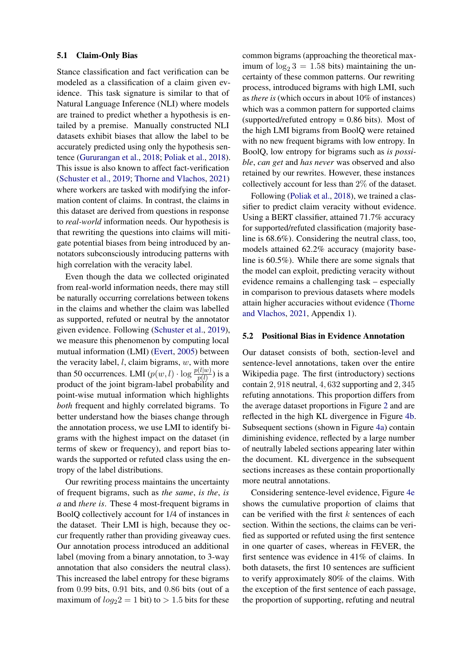### 5.1 Claim-Only Bias

Stance classification and fact verification can be modeled as a classification of a claim given evidence. This task signature is similar to that of Natural Language Inference (NLI) where models are trained to predict whether a hypothesis is entailed by a premise. Manually constructed NLI datasets exhibit biases that allow the label to be accurately predicted using only the hypothesis sentence [\(Gururangan et al.,](#page-10-12) [2018;](#page-10-12) [Poliak et al.,](#page-11-18) [2018\)](#page-11-18). This issue is also known to affect fact-verification [\(Schuster et al.,](#page-11-13) [2019;](#page-11-13) [Thorne and Vlachos,](#page-11-19) [2021\)](#page-11-19) where workers are tasked with modifying the information content of claims. In contrast, the claims in this dataset are derived from questions in response to *real-world* information needs. Our hypothesis is that rewriting the questions into claims will mitigate potential biases from being introduced by annotators subconsciously introducing patterns with high correlation with the veracity label.

Even though the data we collected originated from real-world information needs, there may still be naturally occurring correlations between tokens in the claims and whether the claim was labelled as supported, refuted or neutral by the annotator given evidence. Following [\(Schuster et al.,](#page-11-13) [2019\)](#page-11-13), we measure this phenomenon by computing local mutual information (LMI) [\(Evert,](#page-10-13) [2005\)](#page-10-13) between the veracity label,  $l$ , claim bigrams,  $w$ , with more than 50 occurrences. LMI  $(p(w, l) \cdot \log \frac{p(l|w)}{p(l)})$  is a product of the joint bigram-label probability and point-wise mutual information which highlights *both* frequent and highly correlated bigrams. To better understand how the biases change through the annotation process, we use LMI to identify bigrams with the highest impact on the dataset (in terms of skew or frequency), and report bias towards the supported or refuted class using the entropy of the label distributions.

Our rewriting process maintains the uncertainty of frequent bigrams, such as *the same*, *is the*, *is a* and *there is*. These 4 most-frequent bigrams in BoolQ collectively account for 1/4 of instances in the dataset. Their LMI is high, because they occur frequently rather than providing giveaway cues. Our annotation process introduced an additional label (moving from a binary annotation, to 3-way annotation that also considers the neutral class). This increased the label entropy for these bigrams from 0.99 bits, 0.91 bits, and 0.86 bits (out of a maximum of  $log_2 2 = 1$  bit) to  $> 1.5$  bits for these common bigrams (approaching the theoretical maximum of  $\log_2 3 = 1.58$  bits) maintaining the uncertainty of these common patterns. Our rewriting process, introduced bigrams with high LMI, such as *there is* (which occurs in about 10% of instances) which was a common pattern for supported claims (supported/refuted entropy  $= 0.86$  bits). Most of the high LMI bigrams from BoolQ were retained with no new frequent bigrams with low entropy. In BoolQ, low entropy for bigrams such as *is possible*, *can get* and *has never* was observed and also retained by our rewrites. However, these instances collectively account for less than 2% of the dataset.

Following [\(Poliak et al.,](#page-11-18) [2018\)](#page-11-18), we trained a classifier to predict claim veracity without evidence. Using a BERT classifier, attained 71.7% accuracy for supported/refuted classification (majority baseline is 68.6%). Considering the neutral class, too, models attained 62.2% accuracy (majority baseline is 60.5%). While there are some signals that the model can exploit, predicting veracity without evidence remains a challenging task – especially in comparison to previous datasets where models attain higher accuracies without evidence [\(Thorne](#page-11-19) [and Vlachos,](#page-11-19) [2021,](#page-11-19) Appendix 1).

### 5.2 Positional Bias in Evidence Annotation

Our dataset consists of both, section-level and sentence-level annotations, taken over the entire Wikipedia page. The first (introductory) sections contain 2, 918 neutral, 4, 632 supporting and 2, 345 refuting annotations. This proportion differs from the average dataset proportions in Figure [2](#page-4-0) and are reflected in the high KL divergence in Figure [4b.](#page-6-0) Subsequent sections (shown in Figure [4a\)](#page-6-0) contain diminishing evidence, reflected by a large number of neutrally labeled sections appearing later within the document. KL divergence in the subsequent sections increases as these contain proportionally more neutral annotations.

Considering sentence-level evidence, Figure [4e](#page-6-0) shows the cumulative proportion of claims that can be verified with the first  $k$  sentences of each section. Within the sections, the claims can be verified as supported or refuted using the first sentence in one quarter of cases, whereas in FEVER, the first sentence was evidence in 41% of claims. In both datasets, the first 10 sentences are sufficient to verify approximately 80% of the claims. With the exception of the first sentence of each passage, the proportion of supporting, refuting and neutral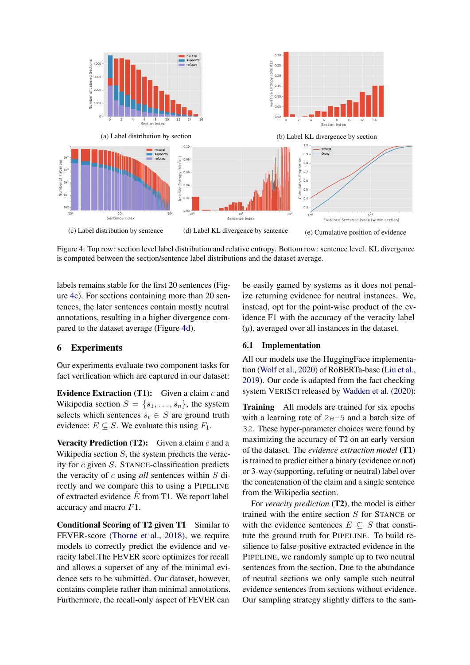<span id="page-6-0"></span>

Figure 4: Top row: section level label distribution and relative entropy. Bottom row: sentence level. KL divergence is computed between the section/sentence label distributions and the dataset average.

labels remains stable for the first 20 sentences (Figure [4c\)](#page-6-0). For sections containing more than 20 sentences, the later sentences contain mostly neutral annotations, resulting in a higher divergence compared to the dataset average (Figure [4d\)](#page-6-0).

# 6 Experiments

Our experiments evaluate two component tasks for fact verification which are captured in our dataset:

**Evidence Extraction (T1):** Given a claim  $c$  and Wikipedia section  $S = \{s_1, \ldots, s_n\}$ , the system selects which sentences  $s_i \in S$  are ground truth evidence:  $E \subseteq S$ . We evaluate this using  $F_1$ .

**Veracity Prediction (T2):** Given a claim c and a Wikipedia section  $S$ , the system predicts the veracity for c given S. STANCE-classification predicts the veracity of c using *all* sentences within S directly and we compare this to using a PIPELINE of extracted evidence  $\hat{E}$  from T1. We report label accuracy and macro F1.

Conditional Scoring of T2 given T1 Similar to FEVER-score [\(Thorne et al.,](#page-11-2) [2018\)](#page-11-2), we require models to correctly predict the evidence and veracity label.The FEVER score optimizes for recall and allows a superset of any of the minimal evidence sets to be submitted. Our dataset, however, contains complete rather than minimal annotations. Furthermore, the recall-only aspect of FEVER can

be easily gamed by systems as it does not penalize returning evidence for neutral instances. We, instead, opt for the point-wise product of the evidence F1 with the accuracy of the veracity label (y), averaged over all instances in the dataset.

### 6.1 Implementation

All our models use the HuggingFace implementation [\(Wolf et al.,](#page-12-0) [2020\)](#page-12-0) of RoBERTa-base [\(Liu et al.,](#page-11-9) [2019\)](#page-11-9). Our code is adapted from the fact checking system VERISCI released by [Wadden et al.](#page-11-3) [\(2020\)](#page-11-3):

Training All models are trained for six epochs with a learning rate of 2e-5 and a batch size of 32. These hyper-parameter choices were found by maximizing the accuracy of T2 on an early version of the dataset. The *evidence extraction model* (T1) is trained to predict either a binary (evidence or not) or 3-way (supporting, refuting or neutral) label over the concatenation of the claim and a single sentence from the Wikipedia section.

For *veracity prediction* (T2), the model is either trained with the entire section S for STANCE or with the evidence sentences  $E \subseteq S$  that constitute the ground truth for PIPELINE. To build resilience to false-positive extracted evidence in the PIPELINE, we randomly sample up to two neutral sentences from the section. Due to the abundance of neutral sections we only sample such neutral evidence sentences from sections without evidence. Our sampling strategy slightly differs to the sam-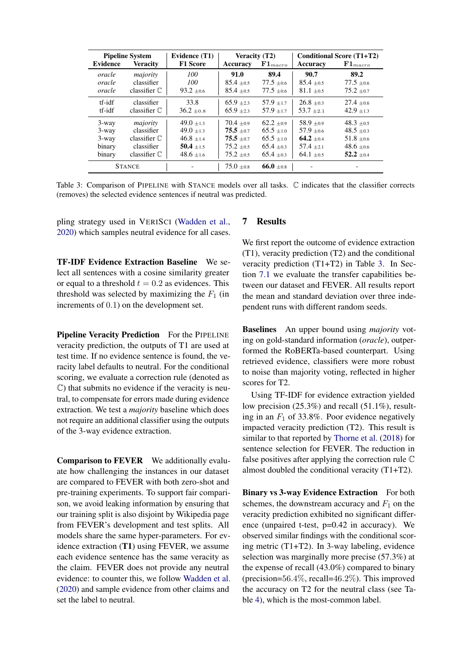<span id="page-7-0"></span>

| <b>Pipeline System</b> |                        | Evidence (T1)   | Veracity (T2)  |                    | <b>Conditional Score (T1+T2)</b> |                    |
|------------------------|------------------------|-----------------|----------------|--------------------|----------------------------------|--------------------|
| <b>Evidence</b>        | <b>Veracity</b>        | <b>F1 Score</b> | Accuracy       | ${\bf F1}_{macro}$ | Accuracy                         | ${\bf F1}_{macro}$ |
| oracle                 | majority               | 100             | 91.0           | 89.4               | 90.7                             | 89.2               |
| oracle                 | classifier             | 100             | $85.4 + 0.5$   | $77.5 \pm 0.6$     | $85.4 + 0.5$                     | $77.5 \pm 0.6$     |
| oracle                 | classifier $\mathbb C$ | $93.2 \pm 0.6$  | $85.4 + 0.5$   | $77.5 \pm 0.6$     | $81.1 \pm 0.5$                   | $75.2 \pm 0.7$     |
| $tf-idf$               | classifier             | 33.8            | $65.9 + 23$    | $57.9 + 1.7$       | $26.8 + 0.3$                     | $27.4 + 0.6$       |
| tf-idf                 | classifier $\mathbb C$ | $36.2 \pm 0.8$  | $65.9 + 2.3$   | $57.9 + 1.7$       | $53.7 + 2.1$                     | $42.9 \pm 1.3$     |
| 3-way                  | majority               | $49.0 + 1.3$    | $70.4 + 0.9$   | $62.2 + 0.9$       | $58.9 + 0.9$                     | $48.3 \pm 0.5$     |
| $3$ -way               | classifier             | $49.0 + 1.3$    | $75.5 + 0.7$   | $65.5 + 1.0$       | $57.9 + 0.6$                     | $48.5 \pm 0.3$     |
| $3$ -way               | classifier $\mathbb C$ | $46.8 + 1.4$    | $75.5 + 0.7$   | $65.5 + 1.0$       | $64.2 + 0.4$                     | $51.8 + 0.6$       |
| binary                 | classifier             | $50.4 \pm 1.5$  | $75.2 \pm 0.5$ | $65.4 + 0.3$       | $57.4 \pm 2.1$                   | $48.6 \pm 0.6$     |
| binary                 | classifier $\mathbb C$ | $48.6 \pm 1.6$  | $75.2 + 0.5$   | $65.4 + 0.3$       | $64.1 + 0.5$                     | $52.2 + 0.4$       |
|                        | <b>STANCE</b>          |                 | $75.0 \pm 0.8$ | $66.0 + 0.8$       |                                  |                    |

Table 3: Comparison of PIPELINE with STANCE models over all tasks. C indicates that the classifier corrects (removes) the selected evidence sentences if neutral was predicted.

pling strategy used in VERISCI [\(Wadden et al.,](#page-11-3) [2020\)](#page-11-3) which samples neutral evidence for all cases.

TF-IDF Evidence Extraction Baseline We select all sentences with a cosine similarity greater or equal to a threshold  $t = 0.2$  as evidences. This threshold was selected by maximizing the  $F_1$  (in increments of 0.1) on the development set.

Pipeline Veracity Prediction For the PIPELINE veracity prediction, the outputs of T1 are used at test time. If no evidence sentence is found, the veracity label defaults to neutral. For the conditional scoring, we evaluate a correction rule (denoted as C) that submits no evidence if the veracity is neutral, to compensate for errors made during evidence extraction. We test a *majority* baseline which does not require an additional classifier using the outputs of the 3-way evidence extraction.

Comparison to FEVER We additionally evaluate how challenging the instances in our dataset are compared to FEVER with both zero-shot and pre-training experiments. To support fair comparison, we avoid leaking information by ensuring that our training split is also disjoint by Wikipedia page from FEVER's development and test splits. All models share the same hyper-parameters. For evidence extraction (T1) using FEVER, we assume each evidence sentence has the same veracity as the claim. FEVER does not provide any neutral evidence: to counter this, we follow [Wadden et al.](#page-11-3) [\(2020\)](#page-11-3) and sample evidence from other claims and set the label to neutral.

## 7 Results

We first report the outcome of evidence extraction (T1), veracity prediction (T2) and the conditional veracity prediction (T1+T2) in Table [3.](#page-7-0) In Section [7.1](#page-8-0) we evaluate the transfer capabilities between our dataset and FEVER. All results report the mean and standard deviation over three independent runs with different random seeds.

Baselines An upper bound using *majority* voting on gold-standard information (*oracle*), outperformed the RoBERTa-based counterpart. Using retrieved evidence, classifiers were more robust to noise than majority voting, reflected in higher scores for T2.

Using TF-IDF for evidence extraction yielded low precision (25.3%) and recall (51.1%), resulting in an  $F_1$  of 33.8%. Poor evidence negatively impacted veracity prediction (T2). This result is similar to that reported by [Thorne et al.](#page-11-2) [\(2018\)](#page-11-2) for sentence selection for FEVER. The reduction in false positives after applying the correction rule  $\mathbb C$ almost doubled the conditional veracity (T1+T2).

Binary vs 3-way Evidence Extraction For both schemes, the downstream accuracy and  $F_1$  on the veracity prediction exhibited no significant difference (unpaired t-test, p=0.42 in accuracy). We observed similar findings with the conditional scoring metric (T1+T2). In 3-way labeling, evidence selection was marginally more precise (57.3%) at the expense of recall (43.0%) compared to binary (precision= $56.4\%$ , recall= $46.2\%$ ). This improved the accuracy on T2 for the neutral class (see Table [4\)](#page-8-1), which is the most-common label.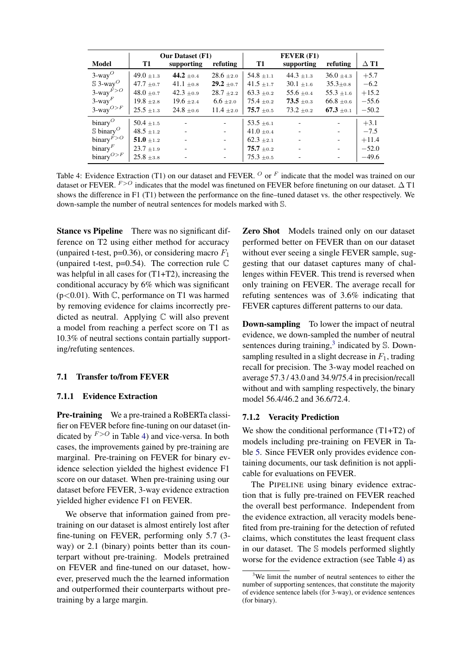<span id="page-8-1"></span>

|                                                       |                | <b>Our Dataset (F1)</b>  |                          |                | <b>FEVER (F1)</b>        |                          |             |
|-------------------------------------------------------|----------------|--------------------------|--------------------------|----------------|--------------------------|--------------------------|-------------|
| Model                                                 | T1             | supporting               | refuting                 | <b>T1</b>      | supporting               | refuting                 | $\Delta$ T1 |
| $3$ -way $^O$                                         | $49.0 \pm 1.3$ | 44.2 $\pm 0.4$           | $28.6 + 2.0$             | $54.8 \pm 1.1$ | 44.3 $\pm$ 1.3           | $36.0 + 4.3$             | $+5.7$      |
| $\$\,3\text{-way}^O$                                  | $47.7 \pm 0.7$ | 41.1 $\pm 0.8$           | $29.2 \pm 0.7$           | $41.5 \pm 1.7$ | $30.1 \pm 1.6$           | $35.3 \pm 0.8$           | $-6.2$      |
| $3$ -way $F > O$                                      | $48.0 \pm 0.7$ | $42.3 \pm 0.9$           | $28.7 + 2.2$             | $63.3 \pm 0.2$ | $55.6 \pm 0.4$           | $55.3 \pm 1.6$           | $+15.2$     |
| $3$ -way $F$                                          | $19.8 + 2.8$   | $19.6 \pm 2.4$           | $6.6 \pm 2.0$            | $75.4 \pm 0.2$ | $73.5 \pm 0.3$           | $66.8 \pm 0.6$           | $-55.6$     |
| $3$ -way <sup><math>O&gt;F</math></sup>               | $25.5 \pm 1.3$ | $24.8 \pm 0.6$           | $11.4 \pm 2.0$           | $75.7 \pm 0.5$ | $73.2 \pm 0.2$           | $67.3 \pm 0.1$           | $-50.2$     |
| $\text{binary}^O$                                     | $50.4 \pm 1.5$ | $\overline{\phantom{a}}$ | $\sim$                   | $53.5 \pm 6.1$ | $\overline{\phantom{a}}$ | $\overline{\phantom{a}}$ | $+3.1$      |
| $\mathbb S$ binary <sup><math>\mathcal O</math></sup> | $48.5 + 1.2$   |                          | $\sim$                   | $41.0 \pm 0.4$ | $\blacksquare$           | $\blacksquare$           | $-7.5$      |
| $\text{binary}^{F>O}$                                 | $51.0 \pm 1.2$ | $\blacksquare$           | $\equiv$                 | $62.3 \pm 2.1$ | $\overline{\phantom{a}}$ | $\equiv$                 | $+11.4$     |
| $\text{binary}^F$                                     | $23.7 \pm 1.9$ |                          | $\sim$                   | $75.7 \pm 0.2$ |                          | $\equiv$                 | $-52.0$     |
| binary $O>F$                                          | $25.8 + 3.8$   |                          | $\overline{\phantom{a}}$ | $75.3 \pm 0.5$ |                          | $-$                      | $-49.6$     |

Table 4: Evidence Extraction (T1) on our dataset and FEVER.  $O$  or  $F$  indicate that the model was trained on our dataset or FEVER.  $F > O$  indicates that the model was finetuned on FEVER before finetuning on our dataset.  $\Delta$  T1 shows the difference in F1 (T1) between the performance on the fine–tuned dataset vs. the other respectively. We down-sample the number of neutral sentences for models marked with S.

Stance vs Pipeline There was no significant difference on T2 using either method for accuracy (unpaired t-test, p=0.36), or considering macro  $F_1$ (unpaired t-test,  $p=0.54$ ). The correction rule  $\mathbb C$ was helpful in all cases for  $(T1+T2)$ , increasing the conditional accuracy by 6% which was significant  $(p<0.01)$ . With C, performance on T1 was harmed by removing evidence for claims incorrectly predicted as neutral. Applying C will also prevent a model from reaching a perfect score on T1 as 10.3% of neutral sections contain partially supporting/refuting sentences.

# <span id="page-8-0"></span>7.1 Transfer to/from FEVER

# 7.1.1 Evidence Extraction

Pre-training We a pre-trained a RoBERTa classifier on FEVER before fine-tuning on our dataset (indicated by  $F > O$  in Table [4\)](#page-8-1) and vice-versa. In both cases, the improvements gained by pre-training are marginal. Pre-training on FEVER for binary evidence selection yielded the highest evidence F1 score on our dataset. When pre-training using our dataset before FEVER, 3-way evidence extraction yielded higher evidence F1 on FEVER.

We observe that information gained from pretraining on our dataset is almost entirely lost after fine-tuning on FEVER, performing only 5.7 (3 way) or 2.1 (binary) points better than its counterpart without pre-training. Models pretrained on FEVER and fine-tuned on our dataset, however, preserved much the the learned information and outperformed their counterparts without pretraining by a large margin.

Zero Shot Models trained only on our dataset performed better on FEVER than on our dataset without ever seeing a single FEVER sample, suggesting that our dataset captures many of challenges within FEVER. This trend is reversed when only training on FEVER. The average recall for refuting sentences was of 3.6% indicating that FEVER captures different patterns to our data.

Down-sampling To lower the impact of neutral evidence, we down-sampled the number of neutral sentences during training,<sup>[3](#page-8-2)</sup> indicated by S. Downsampling resulted in a slight decrease in  $F_1$ , trading recall for precision. The 3-way model reached on average 57.3 / 43.0 and 34.9/75.4 in precision/recall without and with sampling respectively, the binary model 56.4/46.2 and 36.6/72.4.

# 7.1.2 Veracity Prediction

We show the conditional performance (T1+T2) of models including pre-training on FEVER in Table [5.](#page-9-0) Since FEVER only provides evidence containing documents, our task definition is not applicable for evaluations on FEVER.

The PIPELINE using binary evidence extraction that is fully pre-trained on FEVER reached the overall best performance. Independent from the evidence extraction, all veracity models benefited from pre-training for the detection of refuted claims, which constitutes the least frequent class in our dataset. The S models performed slightly worse for the evidence extraction (see Table [4\)](#page-8-1) as

<span id="page-8-2"></span> $3$ We limit the number of neutral sentences to either the number of supporting sentences, that constitute the majority of evidence sentence labels (for 3-way), or evidence sentences (for binary).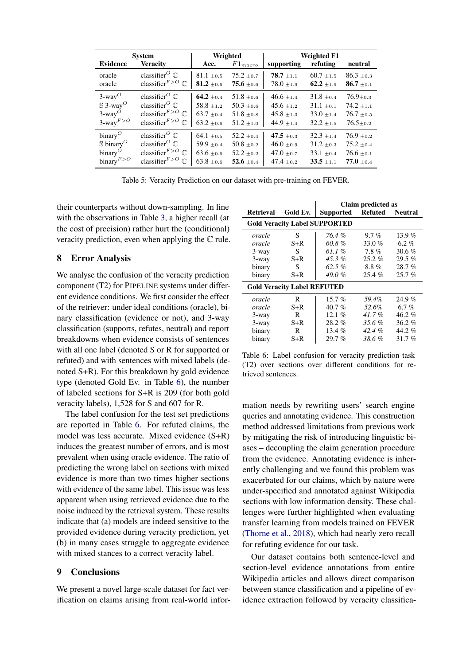<span id="page-9-0"></span>

| <b>System</b>                                         |                                                       | Weighted       |                | <b>Weighted F1</b> |                |                               |
|-------------------------------------------------------|-------------------------------------------------------|----------------|----------------|--------------------|----------------|-------------------------------|
| <b>Evidence</b>                                       | <b>Veracity</b>                                       | Acc.           | $F1_{macro}$   | supporting         | refuting       | neutral                       |
| oracle                                                | classifier <sup><math>O \mathbb{C}</math></sup>       | $81.1 \pm 0.5$ | $75.2 \pm 0.7$ | $78.7 \pm 1.1$     | $60.7 \pm 1.5$ | $86.3 \pm 0.3$                |
| oracle                                                | classifier $F>O$ $\mathbb{C}$                         | 81.2 $\pm 0.6$ | $75.6 \pm 0.6$ | $78.0 \pm 1.9$     | $62.2 \pm 1.9$ | $86.7{\scriptstyle~ \pm 0.1}$ |
| $3$ -way <sup><math>O</math></sup>                    | classifier <sup><math>O \mathbb{C}</math></sup>       | 64.2 $\pm$ 0.4 | $51.8 \pm 0.6$ | $46.6 \pm 1.4$     | $31.8 + 0.4$   | $76.9 + 0.3$                  |
| $\mathbb S$ 3-way <sup>O</sup>                        | classifier <sup><math>O \mathbb{C}</math></sup>       | $58.8 \pm 1.2$ | $50.3 \pm 0.6$ | $45.6 \pm 1.2$     | $31.1 \pm 0.1$ | $74.2 \pm 1.1$                |
| $3$ -way <sup>O</sup>                                 | classifier $F>O$ $\mathbb{C}$                         | $63.7 \pm 0.4$ | $51.8 \pm 0.8$ | $45.8 \pm 1.3$     | $33.0 \pm 1.4$ | $76.7 \pm 0.5$                |
| $3$ -way $F > O$                                      | classifier $F>O$ $\mathbb{C}$                         | $63.2 \pm 0.6$ | $51.2 \pm 1.0$ | $44.9 \pm 1.4$     | $32.2 + 1.5$   | $76.5 \pm 0.2$                |
| $\binom{1}{1}$                                        | classifier <sup><math>O \mathbb{C}</math></sup>       | $64.1 \pm 0.5$ | $52.2 \pm 0.4$ | 47.5 $\pm$ 0.3     | $32.3 + 1.4$   | $76.9 \pm 0.2$                |
| $\mathbb S$ binary <sup><math>\mathcal O</math></sup> | classifier <sup><math>O \mathbb{C}</math></sup>       | $59.9 \pm 0.4$ | $50.8 \pm 0.2$ | $46.0 \pm 0.9$     | $31.2 \pm 0.3$ | $75.2 \pm 0.4$                |
| $\binom{1}{1}$                                        | classifier <sup><math>F&gt;O</math></sup> $\mathbb C$ | $63.6 \pm 0.6$ | $52.2 \pm 0.2$ | $47.0 \pm 0.7$     | $33.1 \pm 0.4$ | $76.6 \pm 0.1$                |
| $\text{binary}^{F>O}$                                 | classifier $F>O$ $\mathbb{C}$                         | $63.8 \pm 0.6$ | 52.6 $\pm$ 0.4 | $47.4 \pm 0.2$     | $33.5 + 1.1$   | $77.0 \pm 0.4$                |

Table 5: Veracity Prediction on our dataset with pre-training on FEVER.

their counterparts without down-sampling. In line with the observations in Table [3,](#page-7-0) a higher recall (at the cost of precision) rather hurt the (conditional) veracity prediction, even when applying the C rule.

# 8 Error Analysis

We analyse the confusion of the veracity prediction component (T2) for PIPELINE systems under different evidence conditions. We first consider the effect of the retriever: under ideal conditions (oracle), binary classification (evidence or not), and 3-way classification (supports, refutes, neutral) and report breakdowns when evidence consists of sentences with all one label (denoted S or R for supported or refuted) and with sentences with mixed labels (denoted S+R). For this breakdown by gold evidence type (denoted Gold Ev. in Table [6\)](#page-9-1), the number of labeled sections for S+R is 209 (for both gold veracity labels), 1,528 for S and 607 for R.

The label confusion for the test set predictions are reported in Table [6.](#page-9-1) For refuted claims, the model was less accurate. Mixed evidence (S+R) induces the greatest number of errors, and is most prevalent when using oracle evidence. The ratio of predicting the wrong label on sections with mixed evidence is more than two times higher sections with evidence of the same label. This issue was less apparent when using retrieved evidence due to the noise induced by the retrieval system. These results indicate that (a) models are indeed sensitive to the provided evidence during veracity prediction, yet (b) in many cases struggle to aggregate evidence with mixed stances to a correct veracity label.

# 9 Conclusions

We present a novel large-scale dataset for fact verification on claims arising from real-world infor-

<span id="page-9-1"></span>

|                                    |          | Claim predicted as                   |                |                |  |  |
|------------------------------------|----------|--------------------------------------|----------------|----------------|--|--|
| <b>Retrieval</b>                   | Gold Ev. | Supported                            | <b>Refuted</b> | <b>Neutral</b> |  |  |
|                                    |          | <b>Gold Veracity Label SUPPORTED</b> |                |                |  |  |
| oracle                             | S        | 76.4 %                               | $9.7\%$        | 13.9 $%$       |  |  |
| oracle                             | $S+R$    | 60.8%                                | 33.0 $%$       | 6.2%           |  |  |
| $3$ -way                           | S        | 61.1%                                | 7.8%           | 30.6 $%$       |  |  |
| $3$ -way                           | $S+R$    | $45.3\%$                             | $25.2\%$       | $29.5\%$       |  |  |
| binary                             | S        | $62.5\%$                             | 8.8%           | 28.7%          |  |  |
| binary                             | $S+R$    | 49.0%                                | 25.4%          | $25.7\%$       |  |  |
| <b>Gold Veracity Label REFUTED</b> |          |                                      |                |                |  |  |
| oracle                             | R        | $15.7\%$                             | 59.4%          | 24.9%          |  |  |
| oracle                             | $S+R$    | $40.7\%$                             | 52.6%          | 6.7%           |  |  |
| $3$ -way                           | R        | 12.1 $%$                             | $41.7\%$       | $46.2\%$       |  |  |
| $3$ -way                           | $S+R$    | $28.2\%$                             | $35.6\%$       | 36.2%          |  |  |
| binary                             | R        | 13.4 $%$                             | 42.4%          | $44.2\%$       |  |  |
| binary                             | $S+R$    | $29.7\%$                             | 38.6 %         | 31.7 $%$       |  |  |

Table 6: Label confusion for veracity prediction task (T2) over sections over different conditions for retrieved sentences.

mation needs by rewriting users' search engine queries and annotating evidence. This construction method addressed limitations from previous work by mitigating the risk of introducing linguistic biases – decoupling the claim generation procedure from the evidence. Annotating evidence is inherently challenging and we found this problem was exacerbated for our claims, which by nature were under-specified and annotated against Wikipedia sections with low information density. These challenges were further highlighted when evaluating transfer learning from models trained on FEVER [\(Thorne et al.,](#page-11-2) [2018\)](#page-11-2), which had nearly zero recall for refuting evidence for our task.

Our dataset contains both sentence-level and section-level evidence annotations from entire Wikipedia articles and allows direct comparison between stance classification and a pipeline of evidence extraction followed by veracity classifica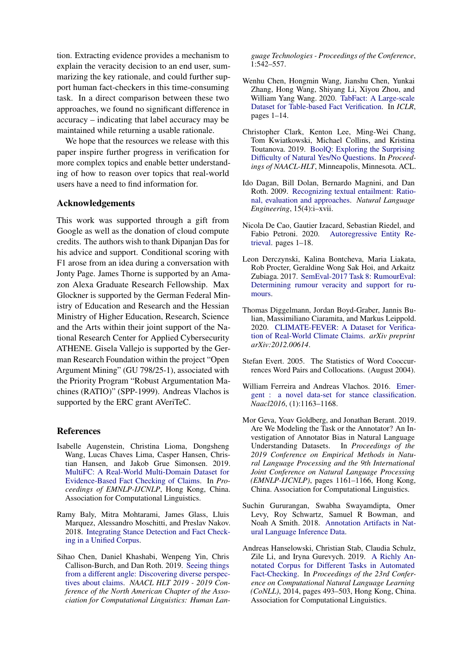tion. Extracting evidence provides a mechanism to explain the veracity decision to an end user, summarizing the key rationale, and could further support human fact-checkers in this time-consuming task. In a direct comparison between these two approaches, we found no significant difference in accuracy – indicating that label accuracy may be maintained while returning a usable rationale.

We hope that the resources we release with this paper inspire further progress in verification for more complex topics and enable better understanding of how to reason over topics that real-world users have a need to find information for.

# Acknowledgements

This work was supported through a gift from Google as well as the donation of cloud compute credits. The authors wish to thank Dipanjan Das for his advice and support. Conditional scoring with F1 arose from an idea during a conversation with Jonty Page. James Thorne is supported by an Amazon Alexa Graduate Research Fellowship. Max Glockner is supported by the German Federal Ministry of Education and Research and the Hessian Ministry of Higher Education, Research, Science and the Arts within their joint support of the National Research Center for Applied Cybersecurity ATHENE. Gisela Vallejo is supported by the German Research Foundation within the project "Open Argument Mining" (GU 798/25-1), associated with the Priority Program "Robust Argumentation Machines (RATIO)" (SPP-1999). Andreas Vlachos is supported by the ERC grant AVeriTeC.

# References

- <span id="page-10-2"></span>Isabelle Augenstein, Christina Lioma, Dongsheng Wang, Lucas Chaves Lima, Casper Hansen, Christian Hansen, and Jakob Grue Simonsen. 2019. [MultiFC: A Real-World Multi-Domain Dataset for](http://arxiv.org/abs/1909.03242) [Evidence-Based Fact Checking of Claims.](http://arxiv.org/abs/1909.03242) In *Proceedings of EMNLP-IJCNLP*, Hong Kong, China. Association for Computational Linguistics.
- <span id="page-10-0"></span>Ramy Baly, Mitra Mohtarami, James Glass, Lluis Marquez, Alessandro Moschitti, and Preslav Nakov. 2018. [Integrating Stance Detection and Fact Check](http://arxiv.org/abs/1804.08012)[ing in a Unified Corpus.](http://arxiv.org/abs/1804.08012)
- <span id="page-10-1"></span>Sihao Chen, Daniel Khashabi, Wenpeng Yin, Chris Callison-Burch, and Dan Roth. 2019. [Seeing things](https://doi.org/10.18653/v1/n19-1053) [from a different angle: Discovering diverse perspec](https://doi.org/10.18653/v1/n19-1053)[tives about claims.](https://doi.org/10.18653/v1/n19-1053) *NAACL HLT 2019 - 2019 Conference of the North American Chapter of the Association for Computational Linguistics: Human Lan-*

*guage Technologies - Proceedings of the Conference*,  $1:542 - 557$ .

- <span id="page-10-4"></span>Wenhu Chen, Hongmin Wang, Jianshu Chen, Yunkai Zhang, Hong Wang, Shiyang Li, Xiyou Zhou, and William Yang Wang. 2020. [TabFact: A Large-scale](http://arxiv.org/abs/1909.02164) [Dataset for Table-based Fact Verification.](http://arxiv.org/abs/1909.02164) In *ICLR*, pages 1–14.
- <span id="page-10-7"></span>Christopher Clark, Kenton Lee, Ming-Wei Chang, Tom Kwiatkowski, Michael Collins, and Kristina Toutanova. 2019. [BoolQ: Exploring the Surprising](http://arxiv.org/abs/1905.10044) [Difficulty of Natural Yes/No Questions.](http://arxiv.org/abs/1905.10044) In *Proceedings of NAACL-HLT*, Minneapolis, Minnesota. ACL.
- <span id="page-10-8"></span>Ido Dagan, Bill Dolan, Bernardo Magnini, and Dan Roth. 2009. [Recognizing textual entailment: Ratio](https://doi.org/10.1017/S1351324909990209)[nal, evaluation and approaches.](https://doi.org/10.1017/S1351324909990209) *Natural Language Engineering*, 15(4):i–xvii.
- <span id="page-10-10"></span>Nicola De Cao, Gautier Izacard, Sebastian Riedel, and Fabio Petroni. 2020. [Autoregressive Entity Re](http://arxiv.org/abs/2010.00904)[trieval.](http://arxiv.org/abs/2010.00904) pages 1–18.
- <span id="page-10-6"></span>Leon Derczynski, Kalina Bontcheva, Maria Liakata, Rob Procter, Geraldine Wong Sak Hoi, and Arkaitz Zubiaga. 2017. [SemEval-2017 Task 8: RumourEval:](http://arxiv.org/abs/1704.05972) [Determining rumour veracity and support for ru](http://arxiv.org/abs/1704.05972)[mours.](http://arxiv.org/abs/1704.05972)
- <span id="page-10-5"></span>Thomas Diggelmann, Jordan Boyd-Graber, Jannis Bulian, Massimiliano Ciaramita, and Markus Leippold. 2020. [CLIMATE-FEVER: A Dataset for Verifica](https://arxiv.org/abs/2012.00614)[tion of Real-World Climate Claims.](https://arxiv.org/abs/2012.00614) *arXiv preprint arXiv:2012.00614*.
- <span id="page-10-13"></span>Stefan Evert. 2005. The Statistics of Word Cooccurrences Word Pairs and Collocations. (August 2004).
- <span id="page-10-9"></span>William Ferreira and Andreas Vlachos. 2016. [Emer](https://doi.org/10.18653/v1/N16-1138)[gent : a novel data-set for stance classification.](https://doi.org/10.18653/v1/N16-1138) *Naacl2016*, (1):1163–1168.
- <span id="page-10-11"></span>Mor Geva, Yoav Goldberg, and Jonathan Berant. 2019. Are We Modeling the Task or the Annotator? An Investigation of Annotator Bias in Natural Language Understanding Datasets. In *Proceedings of the 2019 Conference on Empirical Methods in Natural Language Processing and the 9th International Joint Conference on Natural Language Processing (EMNLP-IJCNLP)*, pages 1161–1166, Hong Kong, China. Association for Computational Linguistics.
- <span id="page-10-12"></span>Suchin Gururangan, Swabha Swayamdipta, Omer Levy, Roy Schwartz, Samuel R Bowman, and Noah A Smith. 2018. [Annotation Artifacts in Nat](https://doi.org/10.18653/v1/N18-2017)[ural Language Inference Data.](https://doi.org/10.18653/v1/N18-2017)
- <span id="page-10-3"></span>Andreas Hanselowski, Christian Stab, Claudia Schulz, Zile Li, and Iryna Gurevych. 2019. [A Richly An](https://doi.org/10.18653/v1/K19-1046)[notated Corpus for Different Tasks in Automated](https://doi.org/10.18653/v1/K19-1046) [Fact-Checking.](https://doi.org/10.18653/v1/K19-1046) In *Proceedings of the 23rd Conference on Computational Natural Language Learning (CoNLL)*, 2014, pages 493–503, Hong Kong, China. Association for Computational Linguistics.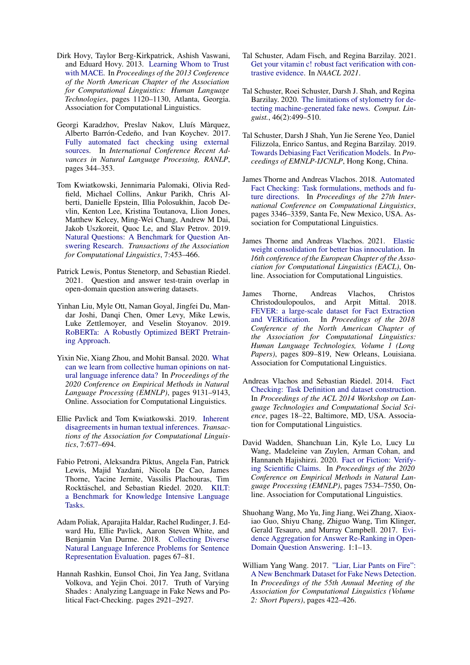- <span id="page-11-8"></span>Dirk Hovy, Taylor Berg-Kirkpatrick, Ashish Vaswani, and Eduard Hovy. 2013. [Learning Whom to Trust](https://www.aclweb.org/anthology/N13-1132) [with MACE.](https://www.aclweb.org/anthology/N13-1132) In *Proceedings of the 2013 Conference of the North American Chapter of the Association for Computational Linguistics: Human Language Technologies*, pages 1120–1130, Atlanta, Georgia. Association for Computational Linguistics.
- <span id="page-11-1"></span>Georgi Karadzhov, Preslav Nakov, Lluís Màrquez, Alberto Barrón-Cedeño, and Ivan Koychev. 2017. [Fully automated fact checking using external](https://doi.org/10.26615/978-954-452-049-6-046) [sources.](https://doi.org/10.26615/978-954-452-049-6-046) In *International Conference Recent Advances in Natural Language Processing, RANLP*, pages 344–353.
- <span id="page-11-7"></span>Tom Kwiatkowski, Jennimaria Palomaki, Olivia Redfield, Michael Collins, Ankur Parikh, Chris Alberti, Danielle Epstein, Illia Polosukhin, Jacob Devlin, Kenton Lee, Kristina Toutanova, Llion Jones, Matthew Kelcey, Ming-Wei Chang, Andrew M Dai, Jakob Uszkoreit, Quoc Le, and Slav Petrov. 2019. [Natural Questions: A Benchmark for Question An](https://doi.org/10.1162/tacl{_}a{_}00276)[swering Research.](https://doi.org/10.1162/tacl{_}a{_}00276) *Transactions of the Association for Computational Linguistics*, 7:453–466.
- <span id="page-11-15"></span>Patrick Lewis, Pontus Stenetorp, and Sebastian Riedel. 2021. Question and answer test-train overlap in open-domain question answering datasets.
- <span id="page-11-9"></span>Yinhan Liu, Myle Ott, Naman Goyal, Jingfei Du, Mandar Joshi, Danqi Chen, Omer Levy, Mike Lewis, Luke Zettlemoyer, and Veselin Stoyanov. 2019. [RoBERTa: A Robustly Optimized BERT Pretrain](http://arxiv.org/abs/1907.11692)[ing Approach.](http://arxiv.org/abs/1907.11692)
- <span id="page-11-17"></span>Yixin Nie, Xiang Zhou, and Mohit Bansal. 2020. [What](https://doi.org/10.18653/v1/2020.emnlp-main.734) [can we learn from collective human opinions on nat](https://doi.org/10.18653/v1/2020.emnlp-main.734)[ural language inference data?](https://doi.org/10.18653/v1/2020.emnlp-main.734) In *Proceedings of the 2020 Conference on Empirical Methods in Natural Language Processing (EMNLP)*, pages 9131–9143, Online. Association for Computational Linguistics.
- <span id="page-11-16"></span>Ellie Pavlick and Tom Kwiatkowski. 2019. [Inherent](https://doi.org/10.1162/tacl_a_00293) [disagreements in human textual inferences.](https://doi.org/10.1162/tacl_a_00293) *Transactions of the Association for Computational Linguistics*, 7:677–694.
- <span id="page-11-14"></span>Fabio Petroni, Aleksandra Piktus, Angela Fan, Patrick Lewis, Majid Yazdani, Nicola De Cao, James Thorne, Yacine Jernite, Vassilis Plachouras, Tim Rocktäschel, and Sebastian Riedel. 2020. [KILT:](http://arxiv.org/abs/2009.02252) [a Benchmark for Knowledge Intensive Language](http://arxiv.org/abs/2009.02252) [Tasks.](http://arxiv.org/abs/2009.02252)
- <span id="page-11-18"></span>Adam Poliak, Aparajita Haldar, Rachel Rudinger, J. Edward Hu, Ellie Pavlick, Aaron Steven White, and Benjamin Van Durme. 2018. [Collecting Diverse](http://arxiv.org/abs/1804.08207) [Natural Language Inference Problems for Sentence](http://arxiv.org/abs/1804.08207) [Representation Evaluation.](http://arxiv.org/abs/1804.08207) pages 67–81.
- <span id="page-11-12"></span>Hannah Rashkin, Eunsol Choi, Jin Yea Jang, Svitlana Volkova, and Yejin Choi. 2017. Truth of Varying Shades : Analyzing Language in Fake News and Political Fact-Checking. pages 2921–2927.
- <span id="page-11-4"></span>Tal Schuster, Adam Fisch, and Regina Barzilay. 2021. [Get your vitamin c! robust fact verification with con](https://arxiv.org/abs/2103.08541)[trastive evidence.](https://arxiv.org/abs/2103.08541) In *NAACL 2021*.
- <span id="page-11-10"></span>Tal Schuster, Roei Schuster, Darsh J. Shah, and Regina Barzilay. 2020. [The limitations of stylometry for de](https://doi.org/10.1162/coli_a_00380)[tecting machine-generated fake news.](https://doi.org/10.1162/coli_a_00380) *Comput. Linguist.*, 46(2):499–510.
- <span id="page-11-13"></span>Tal Schuster, Darsh J Shah, Yun Jie Serene Yeo, Daniel Filizzola, Enrico Santus, and Regina Barzilay. 2019. [Towards Debiasing Fact Verification Models.](http://arxiv.org/abs/1908.05267) In *Proceedings of EMNLP-IJCNLP*, Hong Kong, China.
- <span id="page-11-6"></span>James Thorne and Andreas Vlachos. 2018. [Automated](http://aclweb.org/anthology/C18-1283) [Fact Checking: Task formulations, methods and fu](http://aclweb.org/anthology/C18-1283)[ture directions.](http://aclweb.org/anthology/C18-1283) In *Proceedings of the 27th International Conference on Computational Linguistics*, pages 3346–3359, Santa Fe, New Mexico, USA. Association for Computational Linguistics.
- <span id="page-11-19"></span>James Thorne and Andreas Vlachos. 2021. [Elastic](http://arxiv.org/abs/2004.14366) [weight consolidation for better bias innoculation.](http://arxiv.org/abs/2004.14366) In *16th conference of the European Chapter of the Association for Computational Linguistics (EACL)*, Online. Association for Computational Linguistics.
- <span id="page-11-2"></span>James Thorne, Andreas Vlachos, Christos<br>Christodoulopoulos, and Arpit Mittal. 2018. and Arpit Mittal. 2018. [FEVER: a large-scale dataset for Fact Extraction](http://aclweb.org/anthology/N18-1074) [and VERification.](http://aclweb.org/anthology/N18-1074) In *Proceedings of the 2018 Conference of the North American Chapter of the Association for Computational Linguistics: Human Language Technologies, Volume 1 (Long Papers)*, pages 809–819, New Orleans, Louisiana. Association for Computational Linguistics.
- <span id="page-11-5"></span>Andreas Vlachos and Sebastian Riedel. 2014. [Fact](https://www.aclweb.org/anthology/W14-2508) [Checking: Task Definition and dataset construction.](https://www.aclweb.org/anthology/W14-2508) In *Proceedings of the ACL 2014 Workshop on Language Technologies and Computational Social Science*, pages 18–22, Baltimore, MD, USA. Association for Computational Linguistics.
- <span id="page-11-3"></span>David Wadden, Shanchuan Lin, Kyle Lo, Lucy Lu Wang, Madeleine van Zuylen, Arman Cohan, and Hannaneh Hajishirzi. 2020. [Fact or Fiction: Verify](https://doi.org/10.18653/v1/2020.emnlp-main.609)[ing Scientific Claims.](https://doi.org/10.18653/v1/2020.emnlp-main.609) In *Proceedings of the 2020 Conference on Empirical Methods in Natural Language Processing (EMNLP)*, pages 7534–7550, Online. Association for Computational Linguistics.
- <span id="page-11-0"></span>Shuohang Wang, Mo Yu, Jing Jiang, Wei Zhang, Xiaoxiao Guo, Shiyu Chang, Zhiguo Wang, Tim Klinger, Gerald Tesauro, and Murray Campbell. 2017. [Evi](http://arxiv.org/abs/1711.05116)[dence Aggregation for Answer Re-Ranking in Open-](http://arxiv.org/abs/1711.05116)[Domain Question Answering.](http://arxiv.org/abs/1711.05116) 1:1–13.
- <span id="page-11-11"></span>William Yang Wang. 2017. ["Liar, Liar Pants on Fire":](https://doi.org/10.18653/v1/P17-2067) [A New Benchmark Dataset for Fake News Detection.](https://doi.org/10.18653/v1/P17-2067) In *Proceedings of the 55th Annual Meeting of the Association for Computational Linguistics (Volume 2: Short Papers)*, pages 422–426.